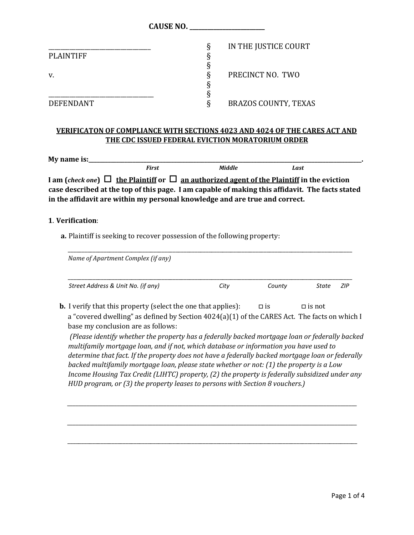|                  | CAUSE NO.                   |
|------------------|-----------------------------|
|                  | IN THE JUSTICE COURT<br>Ŕ   |
| <b>PLAINTIFF</b> |                             |
|                  |                             |
| v.               | PRECINCT NO. TWO<br>♦       |
|                  |                             |
|                  |                             |
| <b>DEFENDANT</b> | <b>BRAZOS COUNTY, TEXAS</b> |

## **VERIFICATON OF COMPLIANCE WITH SECTIONS 4023 AND 4024 OF THE CARES ACT AND THE CDC ISSUED FEDERAL EVICTION MORATORIUM ORDER**

| My name is:_ |       |                                                                                                      |      |  |
|--------------|-------|------------------------------------------------------------------------------------------------------|------|--|
|              | First | Middle                                                                                               | Last |  |
|              |       | I am (check one) $\Box$ the Plaintiff or $\Box$ an authorized agent of the Plaintiff in the eviction |      |  |
|              |       | case described at the top of this page. I am capable of making this affidavit. The facts stated      |      |  |
|              |       | in the affidavit are within my personal knowledge and are true and correct.                          |      |  |

#### **1**. **Verification**:

**a.** Plaintiff is seeking to recover possession of the following property:

| <b>b.</b> I verify that this property (select the one that applies): | $\square$ is<br>a "covered dwelling" as defined by Section 4024(a)(1) of the CARES Act. The facts on which I | $\Box$ is not |                                                                                                                                                                                                                                                                                                                                                                                         |
|----------------------------------------------------------------------|--------------------------------------------------------------------------------------------------------------|---------------|-----------------------------------------------------------------------------------------------------------------------------------------------------------------------------------------------------------------------------------------------------------------------------------------------------------------------------------------------------------------------------------------|
|                                                                      |                                                                                                              |               |                                                                                                                                                                                                                                                                                                                                                                                         |
|                                                                      |                                                                                                              |               |                                                                                                                                                                                                                                                                                                                                                                                         |
|                                                                      | (Please identify whether the property has a federally backed mortgage loan or federally backed               |               |                                                                                                                                                                                                                                                                                                                                                                                         |
|                                                                      |                                                                                                              |               |                                                                                                                                                                                                                                                                                                                                                                                         |
|                                                                      |                                                                                                              |               | multifamily mortgage loan, and if not, which database or information you have used to<br>determine that fact. If the property does not have a federally backed mortgage loan or federally<br>backed multifamily mortgage loan, please state whether or not: (1) the property is a Low<br>Income Housing Tax Credit (LIHTC) property, (2) the property is federally subsidized under any |

*\_\_\_\_\_\_\_\_\_\_\_\_\_\_\_\_\_\_\_\_\_\_\_\_\_\_\_\_\_\_\_\_\_\_\_\_\_\_\_\_\_\_\_\_\_\_\_\_\_\_\_\_\_\_\_\_\_\_\_\_\_\_\_\_\_\_\_\_\_\_\_\_\_\_\_\_\_\_\_\_\_\_\_\_\_\_\_\_\_\_\_\_\_\_\_\_\_\_\_\_\_\_\_\_\_*

\_\_\_\_\_\_\_\_\_\_\_\_\_\_\_\_\_\_\_\_\_\_\_\_\_\_\_\_\_\_\_\_\_\_\_\_\_\_\_\_\_\_\_\_\_\_\_\_\_\_\_\_\_\_\_\_\_\_\_\_\_\_\_\_\_\_\_\_\_\_\_\_\_\_\_\_\_\_\_\_\_\_\_\_\_\_\_\_\_\_\_\_\_\_\_\_\_\_\_\_\_\_\_\_\_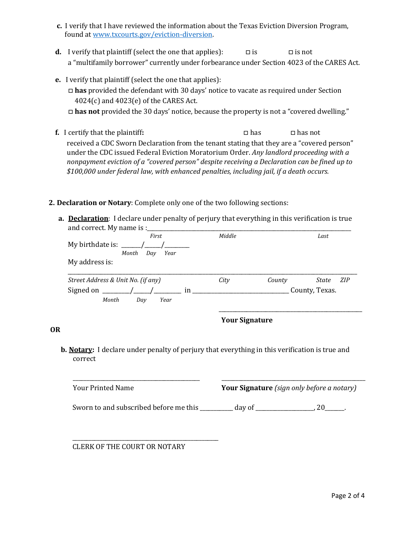- **c.** I verify that I have reviewed the information about the Texas Eviction Diversion Program, found a[t www.txcourts.gov/eviction-diversion.](http://www.txcourts.gov/eviction-diversion)
- **d.** I verify that plaintiff (select the one that applies):  $\Box$  is  $\Box$  is not a "multifamily borrower" currently under forbearance under Section 4023 of the CARES Act.
- **e.** I verify that plaintiff (select the one that applies): □ **has** provided the defendant with 30 days' notice to vacate as required under Section 4024(c) and 4023(e) of the CARES Act. □ **has not** provided the 30 days' notice, because the property is not a "covered dwelling."
- **f.** I certify that the plaintiff: □ □ has □ has □ has not received a CDC Sworn Declaration from the tenant stating that they are a "covered person" under the CDC issued Federal Eviction Moratorium Order. *Any landlord proceeding with a nonpayment eviction of a "covered person" despite receiving a Declaration can be fined up to \$100,000 under federal law, with enhanced penalties, including jail, if a death occurs.*

#### **2. Declaration or Notary**: Complete only one of the two following sections:

**a. Declaration**: I declare under penalty of perjury that everything in this verification is true and correct. My name is :

| First                              | Middle |        | Last           |
|------------------------------------|--------|--------|----------------|
| My birthdate is:                   |        |        |                |
| Month<br>Year<br>Day               |        |        |                |
| My address is:                     |        |        |                |
|                                    |        |        |                |
| Street Address & Unit No. (if any) | City   | County | ZIP<br>State   |
| Signed on<br>in                    |        |        | County, Texas. |
| Month<br>Day<br>Year               |        |        |                |
|                                    |        |        |                |

## **Your Signature**

**b. Notary:** I declare under penalty of perjury that everything in this verification is true and correct

| Your Printed Name                      |        | <b>Your Signature</b> (sign only before a notary) |
|----------------------------------------|--------|---------------------------------------------------|
| Sworn to and subscribed before me this | day of |                                                   |

\_\_\_\_\_\_\_\_\_\_\_\_\_\_\_\_\_\_\_\_\_\_\_\_\_\_\_\_\_\_\_\_\_\_\_\_\_\_\_\_\_\_\_\_\_\_\_\_\_\_\_\_\_ CLERK OF THE COURT OR NOTARY

**OR**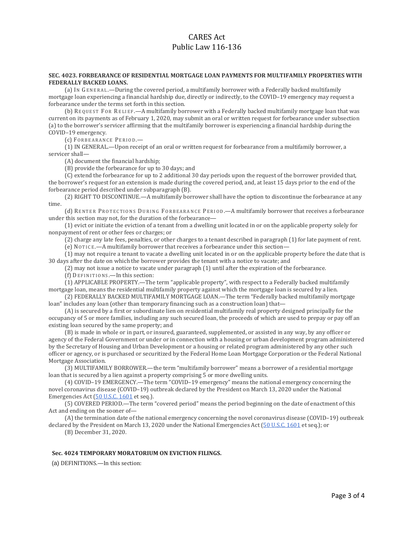# CARES Act Public Law 116-136

#### **SEC. 4023. FORBEARANCE OF RESIDENTIAL MORTGAGE LOAN PAYMENTS FOR MULTIFAMILY PROPERTIES WITH FEDERALLY BACKED LOANS.**

(a) IN GENERAL .—During the covered period, a multifamily borrower with a Federally backed multifamily mortgage loan experiencing a financial hardship due, directly or indirectly, to the COVID–19 emergency may request a forbearance under the terms set forth in this section.

(b) REQUEST FOR RELIEF .—A multifamily borrower with a Federally backed multifamily mortgage loan that was current on its payments as of February 1, 2020, may submit an oral or written request for forbearance under subsection (a) to the borrower's servicer affirming that the multifamily borrower is experiencing a financial hardship during the COVID–19 emergency.

(c) FORBEARANCE PERIOD.

(1) IN GENERAL.—Upon receipt of an oral or written request for forbearance from a multifamily borrower, a servicer shall—

(A) document the financial hardship;

(B) provide the forbearance for up to 30 days; and

(C) extend the forbearance for up to 2 additional 30 day periods upon the request of the borrower provided that, the borrower's request for an extension is made during the covered period, and, at least 15 days prior to the end of the forbearance period described under subparagraph (B).

(2) RIGHT TO DISCONTINUE.—A multifamily borrower shall have the option to discontinue the forbearance at any time.

(d) RENTER PROTECTIONS DURING FORBEARANCE PERIOD. - A multifamily borrower that receives a forbearance under this section may not, for the duration of the forbearance—

(1) evict or initiate the eviction of a tenant from a dwelling unit located in or on the applicable property solely for nonpayment of rent or other fees or charges; or

(2) charge any late fees, penalties, or other charges to a tenant described in paragraph (1) for late payment of rent.

(e) NOTICE .—A multifamily borrower that receives a forbearance under this section—

(1) may not require a tenant to vacate a dwelling unit located in or on the applicable property before the date that is 30 days after the date on which the borrower provides the tenant with a notice to vacate; and

(2) may not issue a notice to vacate under paragraph (1) until after the expiration of the forbearance.

(f) DEFINITIONS .—In this section:

(1) APPLICABLE PROPERTY.—The term "applicable property", with respect to a Federally backed multifamily mortgage loan, means the residential multifamily property against which the mortgage loan is secured by a lien.

(2) FEDERALLY BACKED MULTIFAMILY MORTGAGE LOAN.—The term "Federally backed multifamily mortgage loan" includes any loan (other than temporary financing such as a construction loan) that-

(A) is secured by a first or subordinate lien on residential multifamily real property designed principally for the occupancy of 5 or more families, including any such secured loan, the proceeds of which are used to prepay or pay off an existing loan secured by the same property; and

(B) is made in whole or in part, or insured, guaranteed, supplemented, or assisted in any way, by any officer or agency of the Federal Government or under or in connection with a housing or urban development program administered by the Secretary of Housing and Urban Development or a housing or related program administered by any other such officer or agency, or is purchased or securitized by the Federal Home Loan Mortgage Corporation or the Federal National Mortgage Association.

(3) MULTIFAMILY BORROWER.—the term "multifamily borrower" means a borrower of a residential mortgage loan that is secured by a lien against a property comprising 5 or more dwelling units.

(4) COVID–19 EMERGENCY.—The term "COVID–19 emergency" means the national emergency concerning the novel coronavirus disease (COVID–19) outbreak declared by the President on March 13, 2020 under the National Emergencies Act [\(50 U.S.C. 1601](http://uscode.house.gov/quicksearch/get.plx?title=50§ion=1601) et seq.).

(5) COVERED PERIOD.—The term "covered period" means the period beginning on the date of enactment of this Act and ending on the sooner of—

(A) the termination date of the national emergency concerning the novel coronavirus disease (COVID–19) outbreak declared by the President on March 13, 2020 under the National Emergencies Act [\(50 U.S.C. 1601](http://uscode.house.gov/quicksearch/get.plx?title=50§ion=1601) et seq.); or

(B) December 31, 2020.

#### **Sec. 4024 TEMPORARY MORATORIUM ON EVICTION FILINGS.**

(a) DEFINITIONS.—In this section: